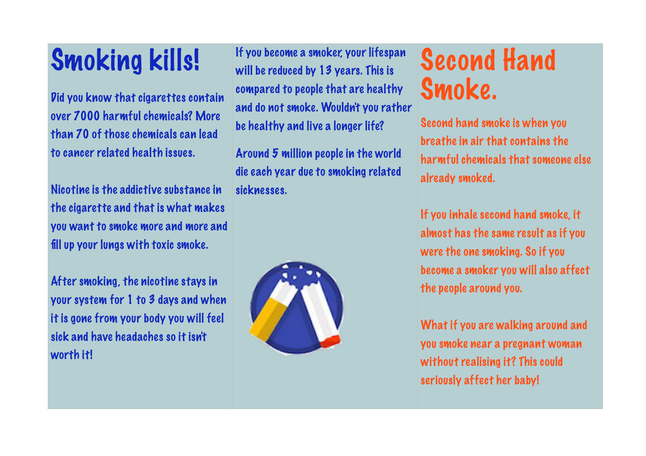## Smoking kills!

Did you know that cigarettes contain over 7000 harmful chemicals? More than 70 of those chemicals can lead to cancer related health issues.

Nicotine is the addictive substance in the cigarette and that is what makes you want to smoke more and more and fill up your lungs with toxic smoke.

After smoking, the nicotine stays in your system for 1 to 3 days and when it is gone from your body you will feel sick and have headaches so it isn't worth it!

If you become a smoker, your lifespan will be reduced by 13 years. This is compared to people that are healthy and do not smoke. Wouldn't you rather be healthy and live a longer life?

Around 5 million people in the world die each year due to smoking related sicknesses.



## Second Hand Smoke.

Second hand smoke is when you breathe in air that contains the harmful chemicals that someone else already smoked.

If you inhale second hand smoke, it almost has the same result as if you were the one smoking. So if you become a smoker you will also affect the people around you.

What if you are walking around and you smoke near a pregnant woman without realising it? This could seriously affect her baby!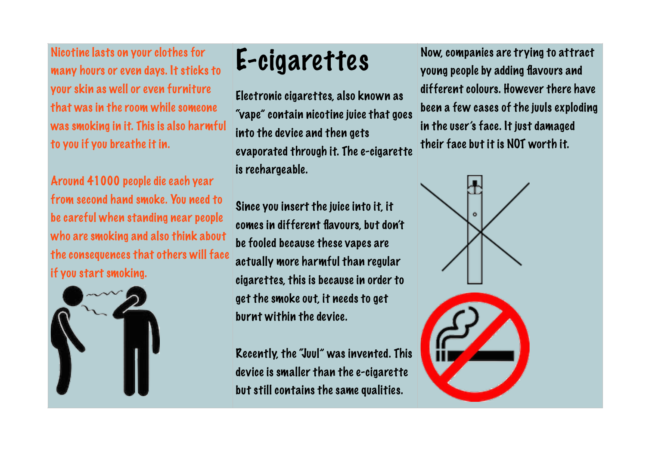Nicotine lasts on your clothes for many hours or even days. It sticks to your skin as well or even furniture that was in the room while someone was smoking in it. This is also harmful to you if you breathe it in.

Around 41000 people die each year from second hand smoke. You need to be careful when standing near people who are smoking and also think about the consequences that others will face if you start smoking.



## E-cigarettes

Electronic cigarettes, also known as "vape" contain nicotine juice that goes into the device and then gets evaporated through it. The e-cigarette is rechargeable.

Since you insert the juice into it, it comes in different flavours, but don't be fooled because these vapes are actually more harmful than regular cigarettes, this is because in order to get the smoke out, it needs to get burnt within the device.

Recently, the "Juul" was invented. This device is smaller than the e-cigarette but still contains the same qualities.

Now, companies are trying to attract young people by adding flavours and different colours. However there have been a few cases of the juuls exploding in the user's face. It just damaged their face but it is NOT worth it.